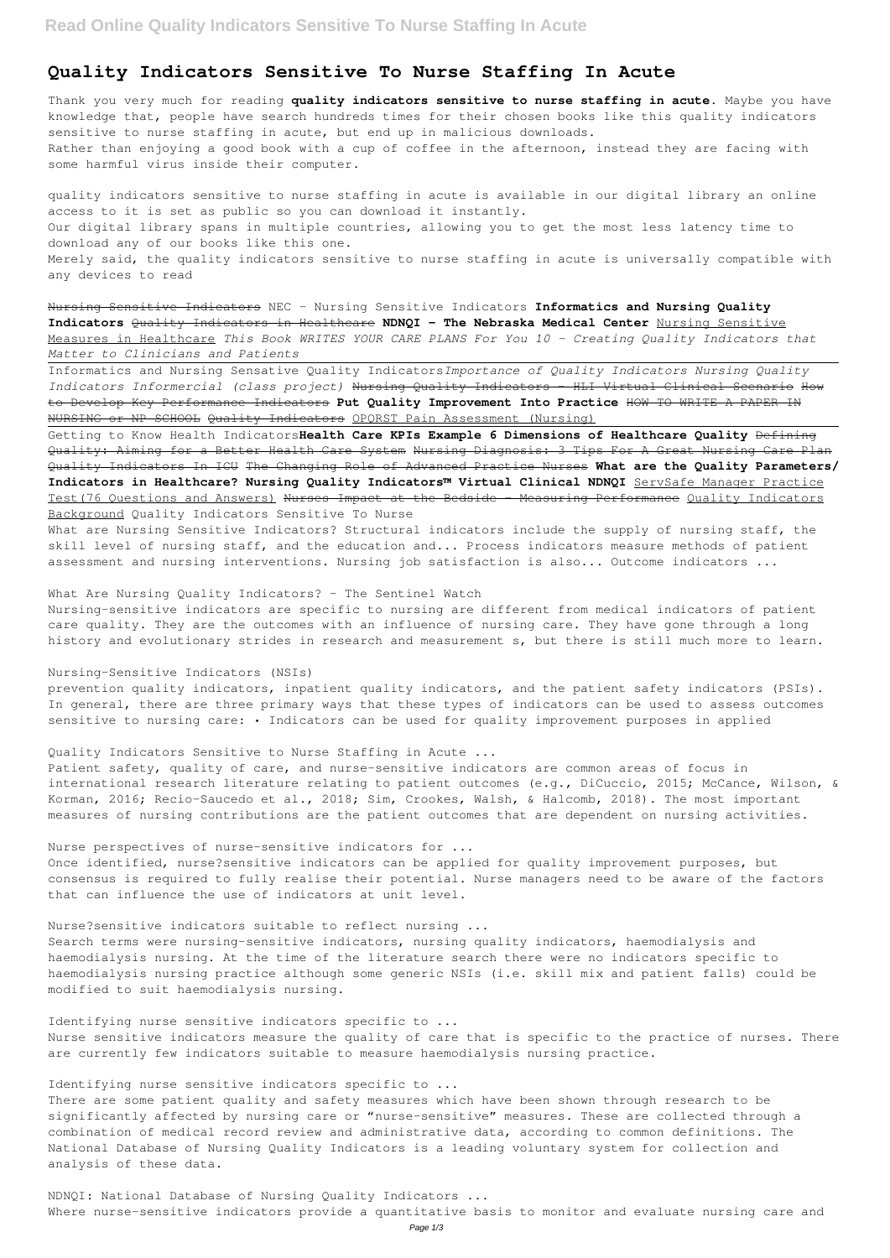# **Quality Indicators Sensitive To Nurse Staffing In Acute**

Thank you very much for reading **quality indicators sensitive to nurse staffing in acute**. Maybe you have knowledge that, people have search hundreds times for their chosen books like this quality indicators sensitive to nurse staffing in acute, but end up in malicious downloads. Rather than enjoying a good book with a cup of coffee in the afternoon, instead they are facing with some harmful virus inside their computer.

quality indicators sensitive to nurse staffing in acute is available in our digital library an online access to it is set as public so you can download it instantly. Our digital library spans in multiple countries, allowing you to get the most less latency time to download any of our books like this one. Merely said, the quality indicators sensitive to nurse staffing in acute is universally compatible with any devices to read

Nursing Sensitive Indicators NEC - Nursing Sensitive Indicators **Informatics and Nursing Quality Indicators** Quality Indicators in Healthcare **NDNQI - The Nebraska Medical Center** Nursing Sensitive Measures in Healthcare *This Book WRITES YOUR CARE PLANS For You 10 - Creating Quality Indicators that Matter to Clinicians and Patients*

prevention quality indicators, inpatient quality indicators, and the patient safety indicators (PSIs). In general, there are three primary ways that these types of indicators can be used to assess outcomes sensitive to nursing care: . Indicators can be used for quality improvement purposes in applied

Informatics and Nursing Sensative Quality Indicators*Importance of Quality Indicators Nursing Quality Indicators Informercial (class project)* Nursing Quality Indicators - HLI Virtual Clinical Scenario How to Develop Key Performance Indicators **Put Quality Improvement Into Practice** HOW TO WRITE A PAPER IN NURSING or NP SCHOOL Quality Indicators OPQRST Pain Assessment (Nursing)

Patient safety, quality of care, and nurse-sensitive indicators are common areas of focus in international research literature relating to patient outcomes (e.g., DiCuccio, 2015; McCance, Wilson, & Korman, 2016; Recio-Saucedo et al., 2018; Sim, Crookes, Walsh, & Halcomb, 2018). The most important measures of nursing contributions are the patient outcomes that are dependent on nursing activities.

Getting to Know Health Indicators**Health Care KPIs Example 6 Dimensions of Healthcare Quality** Defining Quality: Aiming for a Better Health Care System Nursing Diagnosis: 3 Tips For A Great Nursing Care Plan Quality Indicators In ICU The Changing Role of Advanced Practice Nurses **What are the Quality Parameters/ Indicators in Healthcare? Nursing Quality Indicators™ Virtual Clinical NDNQI** ServSafe Manager Practice Test(76 Questions and Answers) Nurses Impact at the Bedside - Measuring Performance Quality Indicators Background Quality Indicators Sensitive To Nurse

What are Nursing Sensitive Indicators? Structural indicators include the supply of nursing staff, the skill level of nursing staff, and the education and... Process indicators measure methods of patient assessment and nursing interventions. Nursing job satisfaction is also... Outcome indicators ...

What Are Nursing Quality Indicators? - The Sentinel Watch

Nursing-sensitive indicators are specific to nursing are different from medical indicators of patient care quality. They are the outcomes with an influence of nursing care. They have gone through a long history and evolutionary strides in research and measurement s, but there is still much more to learn.

Nursing-Sensitive Indicators (NSIs)

Quality Indicators Sensitive to Nurse Staffing in Acute ...

Nurse perspectives of nurse-sensitive indicators for ...

Once identified, nurse?sensitive indicators can be applied for quality improvement purposes, but consensus is required to fully realise their potential. Nurse managers need to be aware of the factors that can influence the use of indicators at unit level.

Nurse?sensitive indicators suitable to reflect nursing ... Search terms were nursing-sensitive indicators, nursing quality indicators, haemodialysis and

haemodialysis nursing. At the time of the literature search there were no indicators specific to haemodialysis nursing practice although some generic NSIs (i.e. skill mix and patient falls) could be modified to suit haemodialysis nursing.

Identifying nurse sensitive indicators specific to ...

Nurse sensitive indicators measure the quality of care that is specific to the practice of nurses. There are currently few indicators suitable to measure haemodialysis nursing practice.

Identifying nurse sensitive indicators specific to ...

There are some patient quality and safety measures which have been shown through research to be significantly affected by nursing care or "nurse-sensitive" measures. These are collected through a combination of medical record review and administrative data, according to common definitions. The National Database of Nursing Quality Indicators is a leading voluntary system for collection and analysis of these data.

NDNQI: National Database of Nursing Quality Indicators ...

Where nurse-sensitive indicators provide a quantitative basis to monitor and evaluate nursing care and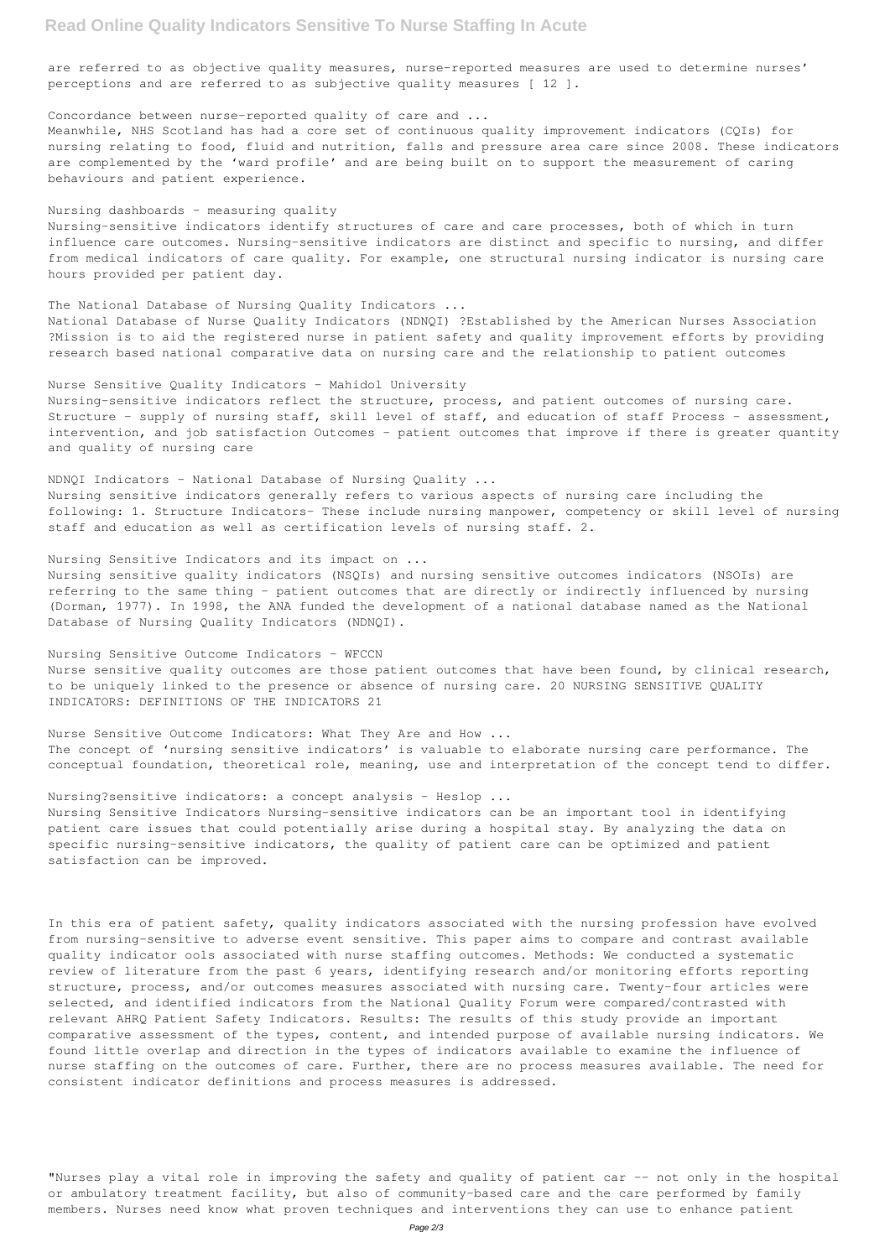## **Read Online Quality Indicators Sensitive To Nurse Staffing In Acute**

are referred to as objective quality measures, nurse-reported measures are used to determine nurses' perceptions and are referred to as subjective quality measures [ 12 ].

### Concordance between nurse-reported quality of care and ...

Meanwhile, NHS Scotland has had a core set of continuous quality improvement indicators (CQIs) for nursing relating to food, fluid and nutrition, falls and pressure area care since 2008. These indicators are complemented by the 'ward profile' and are being built on to support the measurement of caring behaviours and patient experience.

### Nursing dashboards - measuring quality

Nursing-sensitive indicators identify structures of care and care processes, both of which in turn influence care outcomes. Nursing-sensitive indicators are distinct and specific to nursing, and differ from medical indicators of care quality. For example, one structural nursing indicator is nursing care hours provided per patient day.

### The National Database of Nursing Quality Indicators ...

National Database of Nurse Quality Indicators (NDNQI) ?Established by the American Nurses Association ?Mission is to aid the registered nurse in patient safety and quality improvement efforts by providing research based national comparative data on nursing care and the relationship to patient outcomes

Nurse Sensitive Quality Indicators - Mahidol University

Nursing-sensitive indicators reflect the structure, process, and patient outcomes of nursing care. Structure - supply of nursing staff, skill level of staff, and education of staff Process - assessment, intervention, and job satisfaction Outcomes - patient outcomes that improve if there is greater quantity and quality of nursing care

NDNQI Indicators - National Database of Nursing Quality ... Nursing sensitive indicators generally refers to various aspects of nursing care including the following: 1. Structure Indicators- These include nursing manpower, competency or skill level of nursing staff and education as well as certification levels of nursing staff. 2.

#### Nursing Sensitive Indicators and its impact on ...

Nursing sensitive quality indicators (NSQIs) and nursing sensitive outcomes indicators (NSOIs) are referring to the same thing - patient outcomes that are directly or indirectly influenced by nursing (Dorman, 1977). In 1998, the ANA funded the development of a national database named as the National Database of Nursing Quality Indicators (NDNQI).

"Nurses play a vital role in improving the safety and quality of patient car -- not only in the hospital or ambulatory treatment facility, but also of community-based care and the care performed by family members. Nurses need know what proven techniques and interventions they can use to enhance patient

Nursing Sensitive Outcome Indicators - WFCCN Nurse sensitive quality outcomes are those patient outcomes that have been found, by clinical research, to be uniquely linked to the presence or absence of nursing care. 20 NURSING SENSITIVE QUALITY INDICATORS: DEFINITIONS OF THE INDICATORS 21

Nurse Sensitive Outcome Indicators: What They Are and How ... The concept of 'nursing sensitive indicators' is valuable to elaborate nursing care performance. The conceptual foundation, theoretical role, meaning, use and interpretation of the concept tend to differ.

#### Nursing?sensitive indicators: a concept analysis - Heslop ...

Nursing Sensitive Indicators Nursing-sensitive indicators can be an important tool in identifying patient care issues that could potentially arise during a hospital stay. By analyzing the data on specific nursing-sensitive indicators, the quality of patient care can be optimized and patient satisfaction can be improved.

In this era of patient safety, quality indicators associated with the nursing profession have evolved from nursing-sensitive to adverse event sensitive. This paper aims to compare and contrast available

quality indicator ools associated with nurse staffing outcomes. Methods: We conducted a systematic review of literature from the past 6 years, identifying research and/or monitoring efforts reporting structure, process, and/or outcomes measures associated with nursing care. Twenty-four articles were selected, and identified indicators from the National Quality Forum were compared/contrasted with relevant AHRQ Patient Safety Indicators. Results: The results of this study provide an important comparative assessment of the types, content, and intended purpose of available nursing indicators. We found little overlap and direction in the types of indicators available to examine the influence of nurse staffing on the outcomes of care. Further, there are no process measures available. The need for consistent indicator definitions and process measures is addressed.